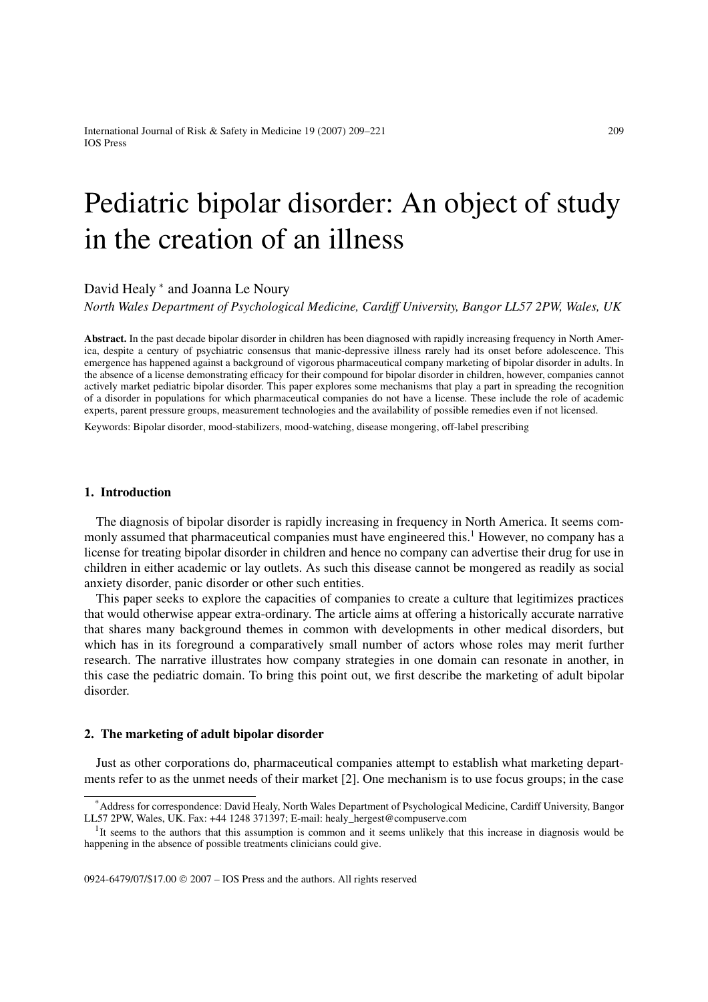# Pediatric bipolar disorder: An object of study in the creation of an illness

## David Healy <sup>∗</sup> and Joanna Le Noury

*North Wales Department of Psychological Medicine, Cardiff University, Bangor LL57 2PW, Wales, UK*

**Abstract.** In the past decade bipolar disorder in children has been diagnosed with rapidly increasing frequency in North America, despite a century of psychiatric consensus that manic-depressive illness rarely had its onset before adolescence. This emergence has happened against a background of vigorous pharmaceutical company marketing of bipolar disorder in adults. In the absence of a license demonstrating efficacy for their compound for bipolar disorder in children, however, companies cannot actively market pediatric bipolar disorder. This paper explores some mechanisms that play a part in spreading the recognition of a disorder in populations for which pharmaceutical companies do not have a license. These include the role of academic experts, parent pressure groups, measurement technologies and the availability of possible remedies even if not licensed.

Keywords: Bipolar disorder, mood-stabilizers, mood-watching, disease mongering, off-label prescribing

#### **1. Introduction**

The diagnosis of bipolar disorder is rapidly increasing in frequency in North America. It seems commonly assumed that pharmaceutical companies must have engineered this.<sup>1</sup> However, no company has a license for treating bipolar disorder in children and hence no company can advertise their drug for use in children in either academic or lay outlets. As such this disease cannot be mongered as readily as social anxiety disorder, panic disorder or other such entities.

This paper seeks to explore the capacities of companies to create a culture that legitimizes practices that would otherwise appear extra-ordinary. The article aims at offering a historically accurate narrative that shares many background themes in common with developments in other medical disorders, but which has in its foreground a comparatively small number of actors whose roles may merit further research. The narrative illustrates how company strategies in one domain can resonate in another, in this case the pediatric domain. To bring this point out, we first describe the marketing of adult bipolar disorder.

## **2. The marketing of adult bipolar disorder**

Just as other corporations do, pharmaceutical companies attempt to establish what marketing departments refer to as the unmet needs of their market [2]. One mechanism is to use focus groups; in the case

0924-6479/07/\$17.00  $\odot$  2007 – IOS Press and the authors. All rights reserved

<sup>\*</sup>Address for correspondence: David Healy, North Wales Department of Psychological Medicine, Cardiff University, Bangor LL57 2PW, Wales, UK. Fax: +44 1248 371397; E-mail: healy\_hergest@compuserve.com

<sup>&</sup>lt;sup>1</sup>It seems to the authors that this assumption is common and it seems unlikely that this increase in diagnosis would be happening in the absence of possible treatments clinicians could give.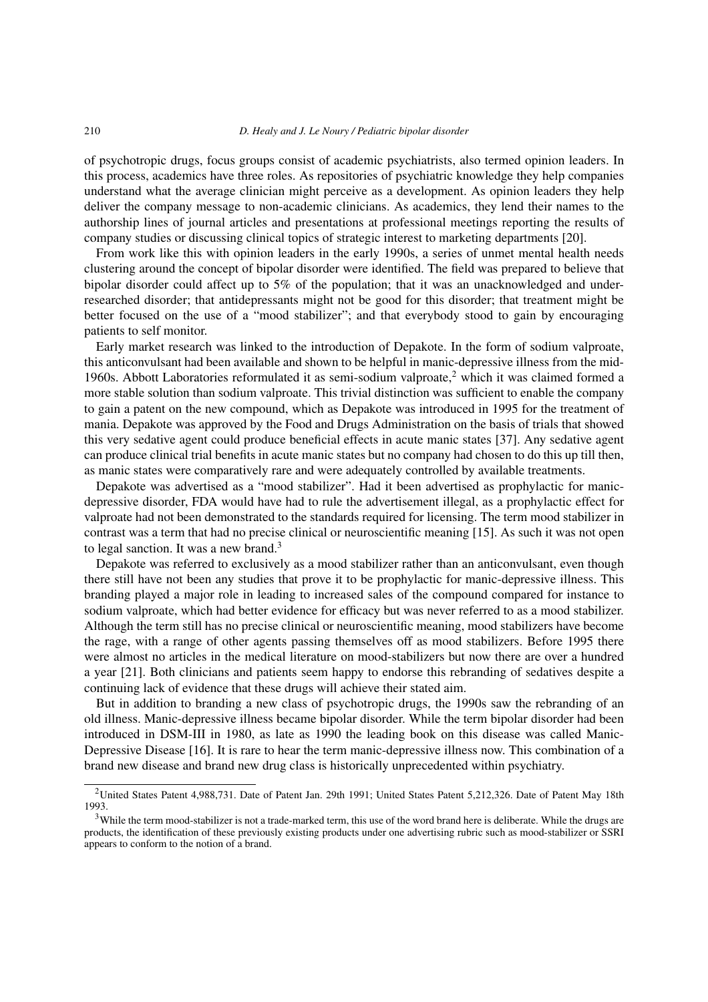of psychotropic drugs, focus groups consist of academic psychiatrists, also termed opinion leaders. In this process, academics have three roles. As repositories of psychiatric knowledge they help companies understand what the average clinician might perceive as a development. As opinion leaders they help deliver the company message to non-academic clinicians. As academics, they lend their names to the authorship lines of journal articles and presentations at professional meetings reporting the results of company studies or discussing clinical topics of strategic interest to marketing departments [20].

From work like this with opinion leaders in the early 1990s, a series of unmet mental health needs clustering around the concept of bipolar disorder were identified. The field was prepared to believe that bipolar disorder could affect up to 5% of the population; that it was an unacknowledged and underresearched disorder; that antidepressants might not be good for this disorder; that treatment might be better focused on the use of a "mood stabilizer"; and that everybody stood to gain by encouraging patients to self monitor.

Early market research was linked to the introduction of Depakote. In the form of sodium valproate, this anticonvulsant had been available and shown to be helpful in manic-depressive illness from the mid-1960s. Abbott Laboratories reformulated it as semi-sodium valproate, $\frac{1}{2}$  which it was claimed formed a more stable solution than sodium valproate. This trivial distinction was sufficient to enable the company to gain a patent on the new compound, which as Depakote was introduced in 1995 for the treatment of mania. Depakote was approved by the Food and Drugs Administration on the basis of trials that showed this very sedative agent could produce beneficial effects in acute manic states [37]. Any sedative agent can produce clinical trial benefits in acute manic states but no company had chosen to do this up till then, as manic states were comparatively rare and were adequately controlled by available treatments.

Depakote was advertised as a "mood stabilizer". Had it been advertised as prophylactic for manicdepressive disorder, FDA would have had to rule the advertisement illegal, as a prophylactic effect for valproate had not been demonstrated to the standards required for licensing. The term mood stabilizer in contrast was a term that had no precise clinical or neuroscientific meaning [15]. As such it was not open to legal sanction. It was a new brand.<sup>3</sup>

Depakote was referred to exclusively as a mood stabilizer rather than an anticonvulsant, even though there still have not been any studies that prove it to be prophylactic for manic-depressive illness. This branding played a major role in leading to increased sales of the compound compared for instance to sodium valproate, which had better evidence for efficacy but was never referred to as a mood stabilizer. Although the term still has no precise clinical or neuroscientific meaning, mood stabilizers have become the rage, with a range of other agents passing themselves off as mood stabilizers. Before 1995 there were almost no articles in the medical literature on mood-stabilizers but now there are over a hundred a year [21]. Both clinicians and patients seem happy to endorse this rebranding of sedatives despite a continuing lack of evidence that these drugs will achieve their stated aim.

But in addition to branding a new class of psychotropic drugs, the 1990s saw the rebranding of an old illness. Manic-depressive illness became bipolar disorder. While the term bipolar disorder had been introduced in DSM-III in 1980, as late as 1990 the leading book on this disease was called Manic-Depressive Disease [16]. It is rare to hear the term manic-depressive illness now. This combination of a brand new disease and brand new drug class is historically unprecedented within psychiatry.

<sup>&</sup>lt;sup>2</sup>United States Patent 4,988,731. Date of Patent Jan. 29th 1991; United States Patent 5,212,326. Date of Patent May 18th 1993.

<sup>&</sup>lt;sup>3</sup>While the term mood-stabilizer is not a trade-marked term, this use of the word brand here is deliberate. While the drugs are products, the identification of these previously existing products under one advertising rubric such as mood-stabilizer or SSRI appears to conform to the notion of a brand.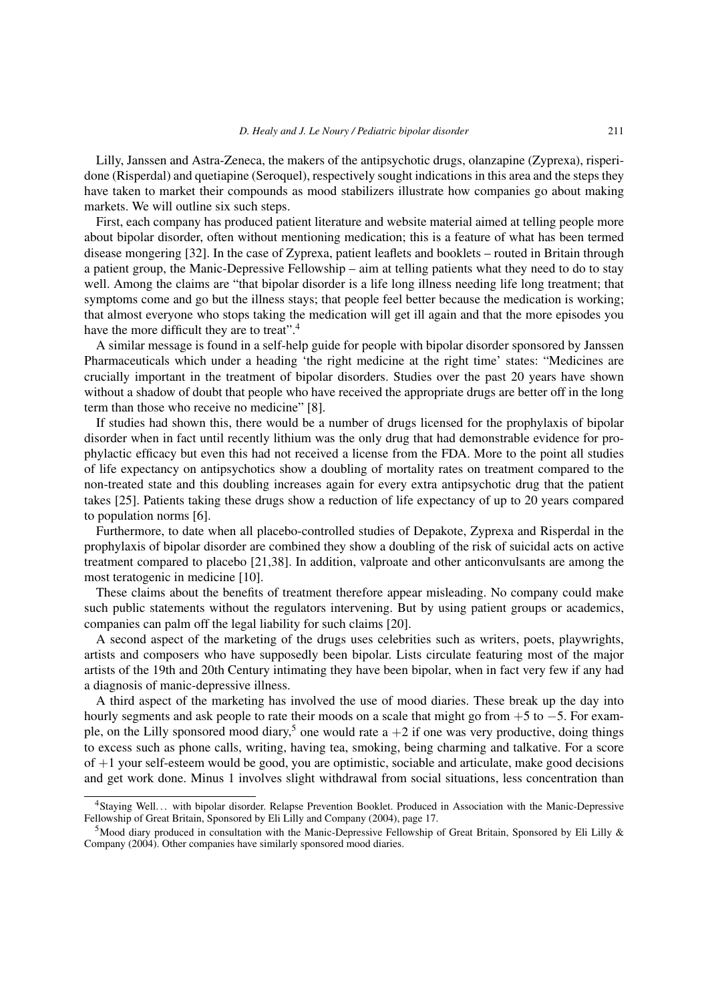Lilly, Janssen and Astra-Zeneca, the makers of the antipsychotic drugs, olanzapine (Zyprexa), risperidone (Risperdal) and quetiapine (Seroquel), respectively sought indications in this area and the steps they have taken to market their compounds as mood stabilizers illustrate how companies go about making markets. We will outline six such steps.

First, each company has produced patient literature and website material aimed at telling people more about bipolar disorder, often without mentioning medication; this is a feature of what has been termed disease mongering [32]. In the case of Zyprexa, patient leaflets and booklets – routed in Britain through a patient group, the Manic-Depressive Fellowship – aim at telling patients what they need to do to stay well. Among the claims are "that bipolar disorder is a life long illness needing life long treatment; that symptoms come and go but the illness stays; that people feel better because the medication is working; that almost everyone who stops taking the medication will get ill again and that the more episodes you have the more difficult they are to treat".<sup>4</sup>

A similar message is found in a self-help guide for people with bipolar disorder sponsored by Janssen Pharmaceuticals which under a heading 'the right medicine at the right time' states: "Medicines are crucially important in the treatment of bipolar disorders. Studies over the past 20 years have shown without a shadow of doubt that people who have received the appropriate drugs are better off in the long term than those who receive no medicine" [8].

If studies had shown this, there would be a number of drugs licensed for the prophylaxis of bipolar disorder when in fact until recently lithium was the only drug that had demonstrable evidence for prophylactic efficacy but even this had not received a license from the FDA. More to the point all studies of life expectancy on antipsychotics show a doubling of mortality rates on treatment compared to the non-treated state and this doubling increases again for every extra antipsychotic drug that the patient takes [25]. Patients taking these drugs show a reduction of life expectancy of up to 20 years compared to population norms [6].

Furthermore, to date when all placebo-controlled studies of Depakote, Zyprexa and Risperdal in the prophylaxis of bipolar disorder are combined they show a doubling of the risk of suicidal acts on active treatment compared to placebo [21,38]. In addition, valproate and other anticonvulsants are among the most teratogenic in medicine [10].

These claims about the benefits of treatment therefore appear misleading. No company could make such public statements without the regulators intervening. But by using patient groups or academics, companies can palm off the legal liability for such claims [20].

A second aspect of the marketing of the drugs uses celebrities such as writers, poets, playwrights, artists and composers who have supposedly been bipolar. Lists circulate featuring most of the major artists of the 19th and 20th Century intimating they have been bipolar, when in fact very few if any had a diagnosis of manic-depressive illness.

A third aspect of the marketing has involved the use of mood diaries. These break up the day into hourly segments and ask people to rate their moods on a scale that might go from +5 to −5. For example, on the Lilly sponsored mood diary,<sup>5</sup> one would rate a  $+2$  if one was very productive, doing things to excess such as phone calls, writing, having tea, smoking, being charming and talkative. For a score of  $+1$  your self-esteem would be good, you are optimistic, sociable and articulate, make good decisions and get work done. Minus 1 involves slight withdrawal from social situations, less concentration than

<sup>&</sup>lt;sup>4</sup>Staying Well... with bipolar disorder. Relapse Prevention Booklet. Produced in Association with the Manic-Depressive Fellowship of Great Britain, Sponsored by Eli Lilly and Company (2004), page 17.

<sup>5</sup>Mood diary produced in consultation with the Manic-Depressive Fellowship of Great Britain, Sponsored by Eli Lilly & Company (2004). Other companies have similarly sponsored mood diaries.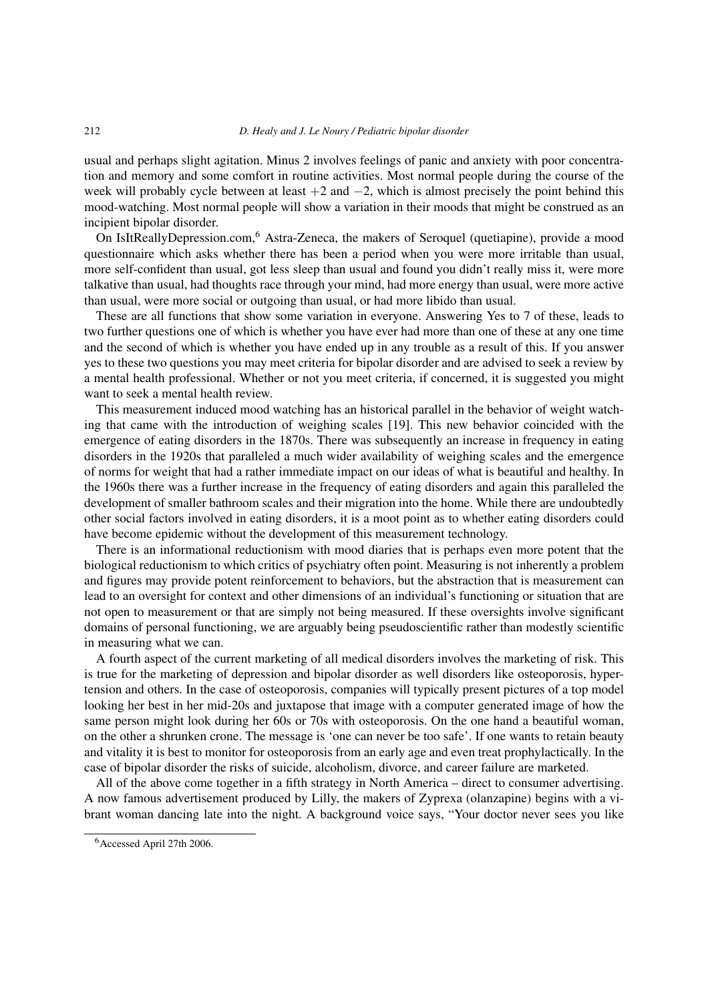usual and perhaps slight agitation. Minus 2 involves feelings of panic and anxiety with poor concentration and memory and some comfort in routine activities. Most normal people during the course of the week will probably cycle between at least  $+2$  and  $-2$ , which is almost precisely the point behind this mood-watching. Most normal people will show a variation in their moods that might be construed as an incipient bipolar disorder.

On IsItReallyDepression.com,<sup>6</sup> Astra-Zeneca, the makers of Seroquel (quetiapine), provide a mood questionnaire which asks whether there has been a period when you were more irritable than usual, more self-confident than usual, got less sleep than usual and found you didn't really miss it, were more talkative than usual, had thoughts race through your mind, had more energy than usual, were more active than usual, were more social or outgoing than usual, or had more libido than usual.

These are all functions that show some variation in everyone. Answering Yes to 7 of these, leads to two further questions one of which is whether you have ever had more than one of these at any one time and the second of which is whether you have ended up in any trouble as a result of this. If you answer yes to these two questions you may meet criteria for bipolar disorder and are advised to seek a review by a mental health professional. Whether or not you meet criteria, if concerned, it is suggested you might want to seek a mental health review.

This measurement induced mood watching has an historical parallel in the behavior of weight watching that came with the introduction of weighing scales [19]. This new behavior coincided with the emergence of eating disorders in the 1870s. There was subsequently an increase in frequency in eating disorders in the 1920s that paralleled a much wider availability of weighing scales and the emergence of norms for weight that had a rather immediate impact on our ideas of what is beautiful and healthy. In the 1960s there was a further increase in the frequency of eating disorders and again this paralleled the development of smaller bathroom scales and their migration into the home. While there are undoubtedly other social factors involved in eating disorders, it is a moot point as to whether eating disorders could have become epidemic without the development of this measurement technology.

There is an informational reductionism with mood diaries that is perhaps even more potent that the biological reductionism to which critics of psychiatry often point. Measuring is not inherently a problem and figures may provide potent reinforcement to behaviors, but the abstraction that is measurement can lead to an oversight for context and other dimensions of an individual's functioning or situation that are not open to measurement or that are simply not being measured. If these oversights involve significant domains of personal functioning, we are arguably being pseudoscientific rather than modestly scientific in measuring what we can.

A fourth aspect of the current marketing of all medical disorders involves the marketing of risk. This is true for the marketing of depression and bipolar disorder as well disorders like osteoporosis, hypertension and others. In the case of osteoporosis, companies will typically present pictures of a top model looking her best in her mid-20s and juxtapose that image with a computer generated image of how the same person might look during her 60s or 70s with osteoporosis. On the one hand a beautiful woman, on the other a shrunken crone. The message is 'one can never be too safe'. If one wants to retain beauty and vitality it is best to monitor for osteoporosis from an early age and even treat prophylactically. In the case of bipolar disorder the risks of suicide, alcoholism, divorce, and career failure are marketed.

All of the above come together in a fifth strategy in North America – direct to consumer advertising. A now famous advertisement produced by Lilly, the makers of Zyprexa (olanzapine) begins with a vibrant woman dancing late into the night. A background voice says, "Your doctor never sees you like

<sup>6</sup>Accessed April 27th 2006.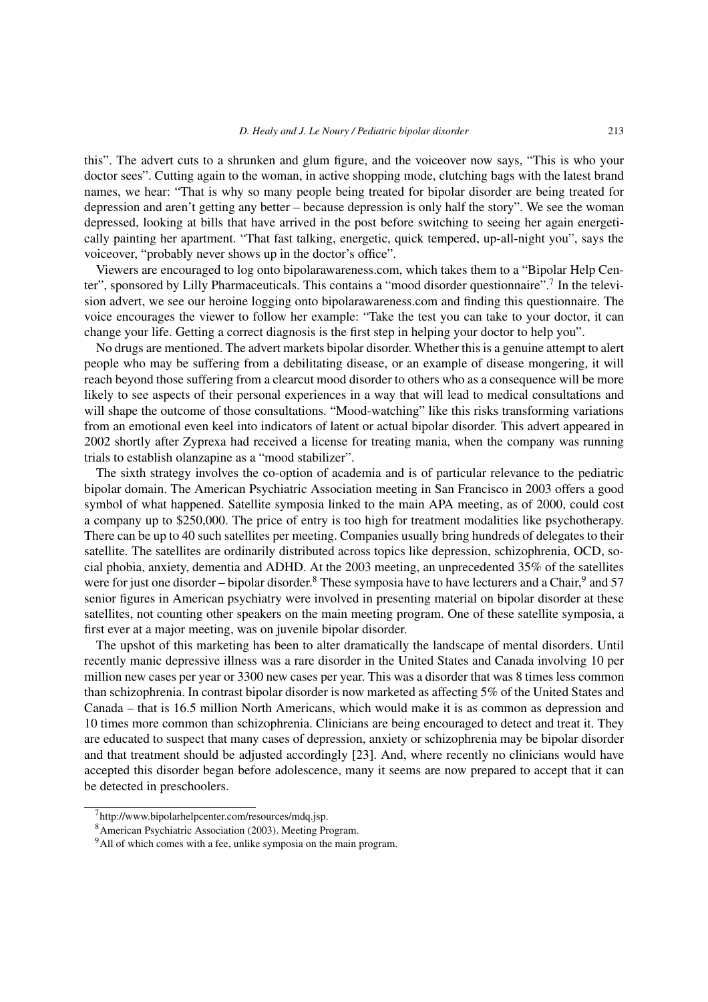this". The advert cuts to a shrunken and glum figure, and the voiceover now says, "This is who your doctor sees". Cutting again to the woman, in active shopping mode, clutching bags with the latest brand names, we hear: "That is why so many people being treated for bipolar disorder are being treated for depression and aren't getting any better – because depression is only half the story". We see the woman depressed, looking at bills that have arrived in the post before switching to seeing her again energetically painting her apartment. "That fast talking, energetic, quick tempered, up-all-night you", says the voiceover, "probably never shows up in the doctor's office".

Viewers are encouraged to log onto bipolarawareness.com, which takes them to a "Bipolar Help Center", sponsored by Lilly Pharmaceuticals. This contains a "mood disorder questionnaire".<sup>7</sup> In the television advert, we see our heroine logging onto bipolarawareness.com and finding this questionnaire. The voice encourages the viewer to follow her example: "Take the test you can take to your doctor, it can change your life. Getting a correct diagnosis is the first step in helping your doctor to help you".

No drugs are mentioned. The advert markets bipolar disorder. Whether this is a genuine attempt to alert people who may be suffering from a debilitating disease, or an example of disease mongering, it will reach beyond those suffering from a clearcut mood disorder to others who as a consequence will be more likely to see aspects of their personal experiences in a way that will lead to medical consultations and will shape the outcome of those consultations. "Mood-watching" like this risks transforming variations from an emotional even keel into indicators of latent or actual bipolar disorder. This advert appeared in 2002 shortly after Zyprexa had received a license for treating mania, when the company was running trials to establish olanzapine as a "mood stabilizer".

The sixth strategy involves the co-option of academia and is of particular relevance to the pediatric bipolar domain. The American Psychiatric Association meeting in San Francisco in 2003 offers a good symbol of what happened. Satellite symposia linked to the main APA meeting, as of 2000, could cost a company up to \$250,000. The price of entry is too high for treatment modalities like psychotherapy. There can be up to 40 such satellites per meeting. Companies usually bring hundreds of delegates to their satellite. The satellites are ordinarily distributed across topics like depression, schizophrenia, OCD, social phobia, anxiety, dementia and ADHD. At the 2003 meeting, an unprecedented 35% of the satellites were for just one disorder – bipolar disorder.<sup>8</sup> These symposia have to have lecturers and a Chair,<sup>9</sup> and 57 senior figures in American psychiatry were involved in presenting material on bipolar disorder at these satellites, not counting other speakers on the main meeting program. One of these satellite symposia, a first ever at a major meeting, was on juvenile bipolar disorder.

The upshot of this marketing has been to alter dramatically the landscape of mental disorders. Until recently manic depressive illness was a rare disorder in the United States and Canada involving 10 per million new cases per year or 3300 new cases per year. This was a disorder that was 8 times less common than schizophrenia. In contrast bipolar disorder is now marketed as affecting 5% of the United States and Canada – that is 16.5 million North Americans, which would make it is as common as depression and 10 times more common than schizophrenia. Clinicians are being encouraged to detect and treat it. They are educated to suspect that many cases of depression, anxiety or schizophrenia may be bipolar disorder and that treatment should be adjusted accordingly [23]. And, where recently no clinicians would have accepted this disorder began before adolescence, many it seems are now prepared to accept that it can be detected in preschoolers.

<sup>7</sup>http://www.bipolarhelpcenter.com/resources/mdq.jsp.

<sup>8</sup>American Psychiatric Association (2003). Meeting Program.

<sup>&</sup>lt;sup>9</sup>All of which comes with a fee, unlike symposia on the main program.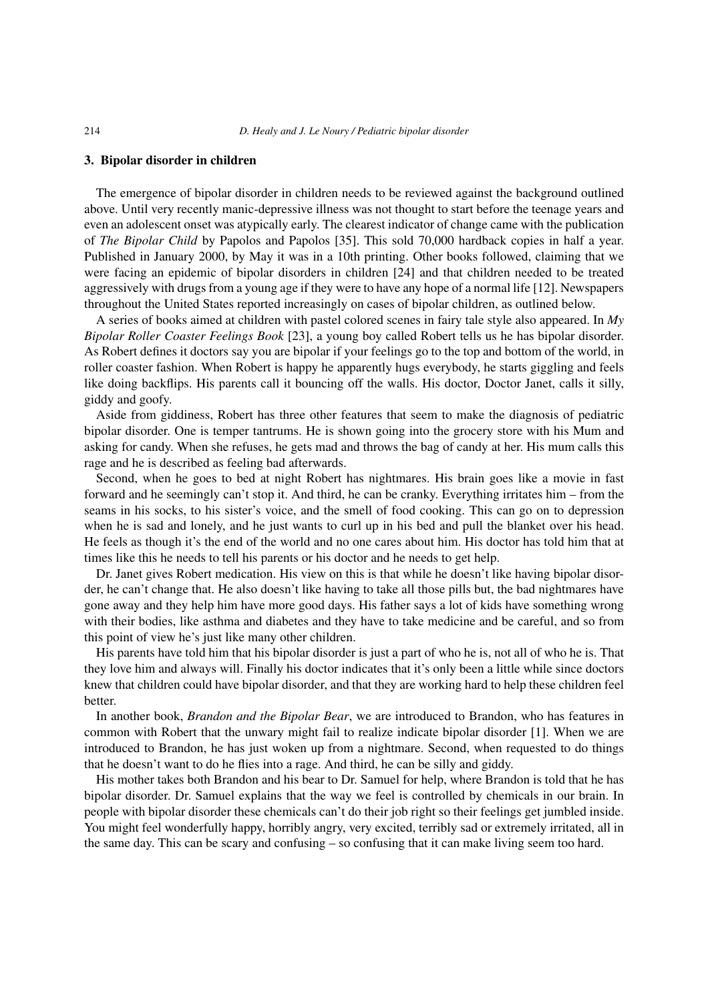#### **3. Bipolar disorder in children**

The emergence of bipolar disorder in children needs to be reviewed against the background outlined above. Until very recently manic-depressive illness was not thought to start before the teenage years and even an adolescent onset was atypically early. The clearest indicator of change came with the publication of *The Bipolar Child* by Papolos and Papolos [35]. This sold 70,000 hardback copies in half a year. Published in January 2000, by May it was in a 10th printing. Other books followed, claiming that we were facing an epidemic of bipolar disorders in children [24] and that children needed to be treated aggressively with drugs from a young age if they were to have any hope of a normal life [12]. Newspapers throughout the United States reported increasingly on cases of bipolar children, as outlined below.

A series of books aimed at children with pastel colored scenes in fairy tale style also appeared. In *My Bipolar Roller Coaster Feelings Book* [23], a young boy called Robert tells us he has bipolar disorder. As Robert defines it doctors say you are bipolar if your feelings go to the top and bottom of the world, in roller coaster fashion. When Robert is happy he apparently hugs everybody, he starts giggling and feels like doing backflips. His parents call it bouncing off the walls. His doctor, Doctor Janet, calls it silly, giddy and goofy.

Aside from giddiness, Robert has three other features that seem to make the diagnosis of pediatric bipolar disorder. One is temper tantrums. He is shown going into the grocery store with his Mum and asking for candy. When she refuses, he gets mad and throws the bag of candy at her. His mum calls this rage and he is described as feeling bad afterwards.

Second, when he goes to bed at night Robert has nightmares. His brain goes like a movie in fast forward and he seemingly can't stop it. And third, he can be cranky. Everything irritates him – from the seams in his socks, to his sister's voice, and the smell of food cooking. This can go on to depression when he is sad and lonely, and he just wants to curl up in his bed and pull the blanket over his head. He feels as though it's the end of the world and no one cares about him. His doctor has told him that at times like this he needs to tell his parents or his doctor and he needs to get help.

Dr. Janet gives Robert medication. His view on this is that while he doesn't like having bipolar disorder, he can't change that. He also doesn't like having to take all those pills but, the bad nightmares have gone away and they help him have more good days. His father says a lot of kids have something wrong with their bodies, like asthma and diabetes and they have to take medicine and be careful, and so from this point of view he's just like many other children.

His parents have told him that his bipolar disorder is just a part of who he is, not all of who he is. That they love him and always will. Finally his doctor indicates that it's only been a little while since doctors knew that children could have bipolar disorder, and that they are working hard to help these children feel better.

In another book, *Brandon and the Bipolar Bear*, we are introduced to Brandon, who has features in common with Robert that the unwary might fail to realize indicate bipolar disorder [1]. When we are introduced to Brandon, he has just woken up from a nightmare. Second, when requested to do things that he doesn't want to do he flies into a rage. And third, he can be silly and giddy.

His mother takes both Brandon and his bear to Dr. Samuel for help, where Brandon is told that he has bipolar disorder. Dr. Samuel explains that the way we feel is controlled by chemicals in our brain. In people with bipolar disorder these chemicals can't do their job right so their feelings get jumbled inside. You might feel wonderfully happy, horribly angry, very excited, terribly sad or extremely irritated, all in the same day. This can be scary and confusing – so confusing that it can make living seem too hard.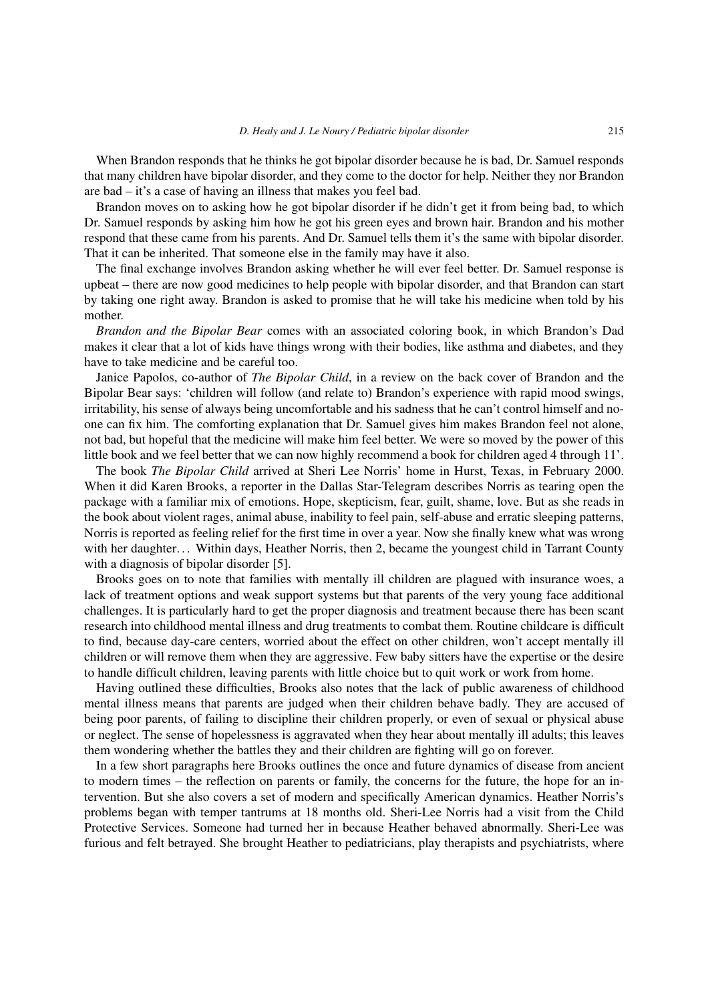When Brandon responds that he thinks he got bipolar disorder because he is bad, Dr. Samuel responds that many children have bipolar disorder, and they come to the doctor for help. Neither they nor Brandon are bad – it's a case of having an illness that makes you feel bad.

Brandon moves on to asking how he got bipolar disorder if he didn't get it from being bad, to which Dr. Samuel responds by asking him how he got his green eyes and brown hair. Brandon and his mother respond that these came from his parents. And Dr. Samuel tells them it's the same with bipolar disorder. That it can be inherited. That someone else in the family may have it also.

The final exchange involves Brandon asking whether he will ever feel better. Dr. Samuel response is upbeat – there are now good medicines to help people with bipolar disorder, and that Brandon can start by taking one right away. Brandon is asked to promise that he will take his medicine when told by his mother.

*Brandon and the Bipolar Bear* comes with an associated coloring book, in which Brandon's Dad makes it clear that a lot of kids have things wrong with their bodies, like asthma and diabetes, and they have to take medicine and be careful too.

Janice Papolos, co-author of *The Bipolar Child*, in a review on the back cover of Brandon and the Bipolar Bear says: 'children will follow (and relate to) Brandon's experience with rapid mood swings, irritability, his sense of always being uncomfortable and his sadness that he can't control himself and noone can fix him. The comforting explanation that Dr. Samuel gives him makes Brandon feel not alone, not bad, but hopeful that the medicine will make him feel better. We were so moved by the power of this little book and we feel better that we can now highly recommend a book for children aged 4 through 11'.

The book *The Bipolar Child* arrived at Sheri Lee Norris' home in Hurst, Texas, in February 2000. When it did Karen Brooks, a reporter in the Dallas Star-Telegram describes Norris as tearing open the package with a familiar mix of emotions. Hope, skepticism, fear, guilt, shame, love. But as she reads in the book about violent rages, animal abuse, inability to feel pain, self-abuse and erratic sleeping patterns, Norris is reported as feeling relief for the first time in over a year. Now she finally knew what was wrong with her daughter... Within days, Heather Norris, then 2, became the youngest child in Tarrant County with a diagnosis of bipolar disorder [5].

Brooks goes on to note that families with mentally ill children are plagued with insurance woes, a lack of treatment options and weak support systems but that parents of the very young face additional challenges. It is particularly hard to get the proper diagnosis and treatment because there has been scant research into childhood mental illness and drug treatments to combat them. Routine childcare is difficult to find, because day-care centers, worried about the effect on other children, won't accept mentally ill children or will remove them when they are aggressive. Few baby sitters have the expertise or the desire to handle difficult children, leaving parents with little choice but to quit work or work from home.

Having outlined these difficulties, Brooks also notes that the lack of public awareness of childhood mental illness means that parents are judged when their children behave badly. They are accused of being poor parents, of failing to discipline their children properly, or even of sexual or physical abuse or neglect. The sense of hopelessness is aggravated when they hear about mentally ill adults; this leaves them wondering whether the battles they and their children are fighting will go on forever.

In a few short paragraphs here Brooks outlines the once and future dynamics of disease from ancient to modern times – the reflection on parents or family, the concerns for the future, the hope for an intervention. But she also covers a set of modern and specifically American dynamics. Heather Norris's problems began with temper tantrums at 18 months old. Sheri-Lee Norris had a visit from the Child Protective Services. Someone had turned her in because Heather behaved abnormally. Sheri-Lee was furious and felt betrayed. She brought Heather to pediatricians, play therapists and psychiatrists, where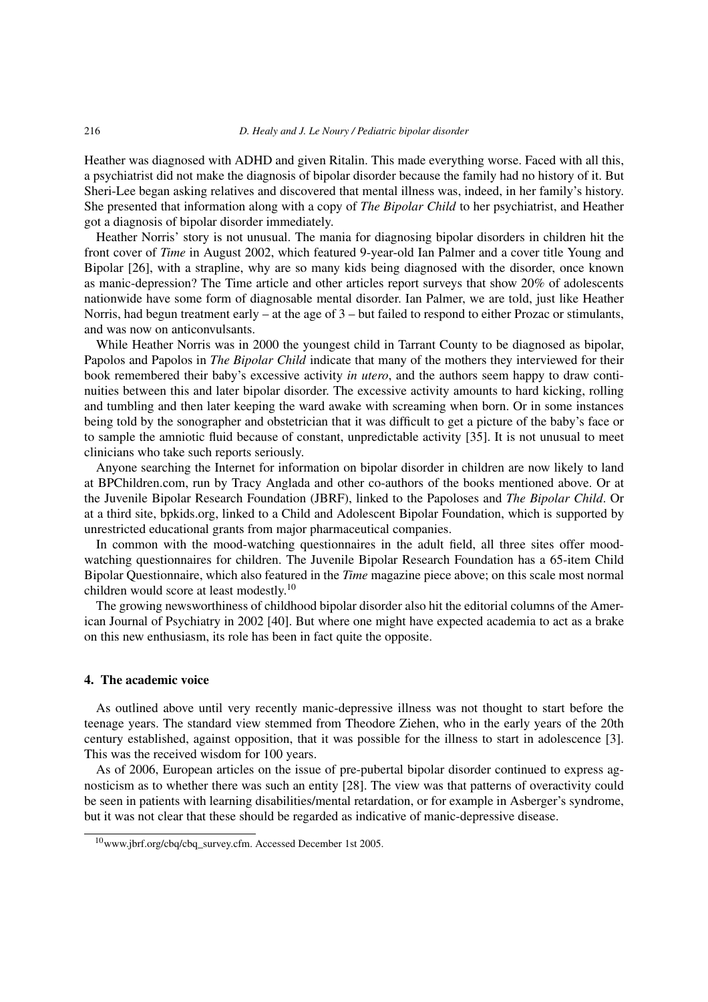Heather was diagnosed with ADHD and given Ritalin. This made everything worse. Faced with all this, a psychiatrist did not make the diagnosis of bipolar disorder because the family had no history of it. But Sheri-Lee began asking relatives and discovered that mental illness was, indeed, in her family's history. She presented that information along with a copy of *The Bipolar Child* to her psychiatrist, and Heather got a diagnosis of bipolar disorder immediately.

Heather Norris' story is not unusual. The mania for diagnosing bipolar disorders in children hit the front cover of *Time* in August 2002, which featured 9-year-old Ian Palmer and a cover title Young and Bipolar [26], with a strapline, why are so many kids being diagnosed with the disorder, once known as manic-depression? The Time article and other articles report surveys that show 20% of adolescents nationwide have some form of diagnosable mental disorder. Ian Palmer, we are told, just like Heather Norris, had begun treatment early – at the age of  $3$  – but failed to respond to either Prozac or stimulants, and was now on anticonvulsants.

While Heather Norris was in 2000 the youngest child in Tarrant County to be diagnosed as bipolar, Papolos and Papolos in *The Bipolar Child* indicate that many of the mothers they interviewed for their book remembered their baby's excessive activity *in utero*, and the authors seem happy to draw continuities between this and later bipolar disorder. The excessive activity amounts to hard kicking, rolling and tumbling and then later keeping the ward awake with screaming when born. Or in some instances being told by the sonographer and obstetrician that it was difficult to get a picture of the baby's face or to sample the amniotic fluid because of constant, unpredictable activity [35]. It is not unusual to meet clinicians who take such reports seriously.

Anyone searching the Internet for information on bipolar disorder in children are now likely to land at BPChildren.com, run by Tracy Anglada and other co-authors of the books mentioned above. Or at the Juvenile Bipolar Research Foundation (JBRF), linked to the Papoloses and *The Bipolar Child*. Or at a third site, bpkids.org, linked to a Child and Adolescent Bipolar Foundation, which is supported by unrestricted educational grants from major pharmaceutical companies.

In common with the mood-watching questionnaires in the adult field, all three sites offer moodwatching questionnaires for children. The Juvenile Bipolar Research Foundation has a 65-item Child Bipolar Questionnaire, which also featured in the *Time* magazine piece above; on this scale most normal children would score at least modestly.<sup>10</sup>

The growing newsworthiness of childhood bipolar disorder also hit the editorial columns of the American Journal of Psychiatry in 2002 [40]. But where one might have expected academia to act as a brake on this new enthusiasm, its role has been in fact quite the opposite.

## **4. The academic voice**

As outlined above until very recently manic-depressive illness was not thought to start before the teenage years. The standard view stemmed from Theodore Ziehen, who in the early years of the 20th century established, against opposition, that it was possible for the illness to start in adolescence [3]. This was the received wisdom for 100 years.

As of 2006, European articles on the issue of pre-pubertal bipolar disorder continued to express agnosticism as to whether there was such an entity [28]. The view was that patterns of overactivity could be seen in patients with learning disabilities/mental retardation, or for example in Asberger's syndrome, but it was not clear that these should be regarded as indicative of manic-depressive disease.

<sup>10</sup>www.jbrf.org/cbq/cbq\_survey.cfm. Accessed December 1st 2005.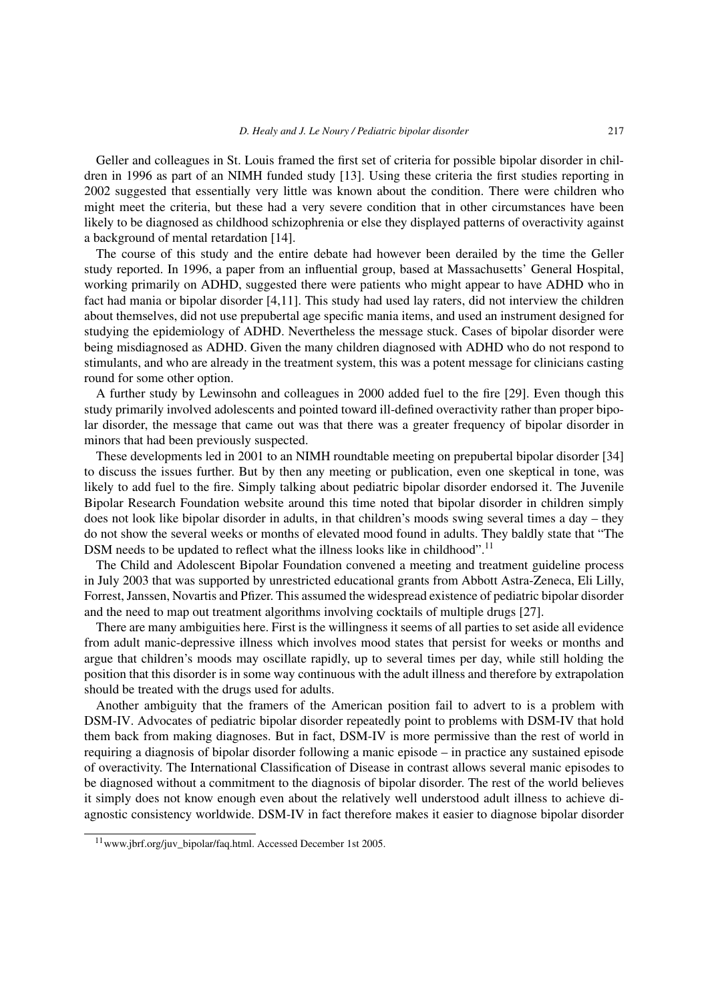Geller and colleagues in St. Louis framed the first set of criteria for possible bipolar disorder in children in 1996 as part of an NIMH funded study [13]. Using these criteria the first studies reporting in 2002 suggested that essentially very little was known about the condition. There were children who might meet the criteria, but these had a very severe condition that in other circumstances have been likely to be diagnosed as childhood schizophrenia or else they displayed patterns of overactivity against a background of mental retardation [14].

The course of this study and the entire debate had however been derailed by the time the Geller study reported. In 1996, a paper from an influential group, based at Massachusetts' General Hospital, working primarily on ADHD, suggested there were patients who might appear to have ADHD who in fact had mania or bipolar disorder [4,11]. This study had used lay raters, did not interview the children about themselves, did not use prepubertal age specific mania items, and used an instrument designed for studying the epidemiology of ADHD. Nevertheless the message stuck. Cases of bipolar disorder were being misdiagnosed as ADHD. Given the many children diagnosed with ADHD who do not respond to stimulants, and who are already in the treatment system, this was a potent message for clinicians casting round for some other option.

A further study by Lewinsohn and colleagues in 2000 added fuel to the fire [29]. Even though this study primarily involved adolescents and pointed toward ill-defined overactivity rather than proper bipolar disorder, the message that came out was that there was a greater frequency of bipolar disorder in minors that had been previously suspected.

These developments led in 2001 to an NIMH roundtable meeting on prepubertal bipolar disorder [34] to discuss the issues further. But by then any meeting or publication, even one skeptical in tone, was likely to add fuel to the fire. Simply talking about pediatric bipolar disorder endorsed it. The Juvenile Bipolar Research Foundation website around this time noted that bipolar disorder in children simply does not look like bipolar disorder in adults, in that children's moods swing several times a day – they do not show the several weeks or months of elevated mood found in adults. They baldly state that "The DSM needs to be updated to reflect what the illness looks like in childhood".<sup>11</sup>

The Child and Adolescent Bipolar Foundation convened a meeting and treatment guideline process in July 2003 that was supported by unrestricted educational grants from Abbott Astra-Zeneca, Eli Lilly, Forrest, Janssen, Novartis and Pfizer. This assumed the widespread existence of pediatric bipolar disorder and the need to map out treatment algorithms involving cocktails of multiple drugs [27].

There are many ambiguities here. First is the willingness it seems of all parties to set aside all evidence from adult manic-depressive illness which involves mood states that persist for weeks or months and argue that children's moods may oscillate rapidly, up to several times per day, while still holding the position that this disorder is in some way continuous with the adult illness and therefore by extrapolation should be treated with the drugs used for adults.

Another ambiguity that the framers of the American position fail to advert to is a problem with DSM-IV. Advocates of pediatric bipolar disorder repeatedly point to problems with DSM-IV that hold them back from making diagnoses. But in fact, DSM-IV is more permissive than the rest of world in requiring a diagnosis of bipolar disorder following a manic episode – in practice any sustained episode of overactivity. The International Classification of Disease in contrast allows several manic episodes to be diagnosed without a commitment to the diagnosis of bipolar disorder. The rest of the world believes it simply does not know enough even about the relatively well understood adult illness to achieve diagnostic consistency worldwide. DSM-IV in fact therefore makes it easier to diagnose bipolar disorder

<sup>11</sup>www.jbrf.org/juv\_bipolar/faq.html. Accessed December 1st 2005.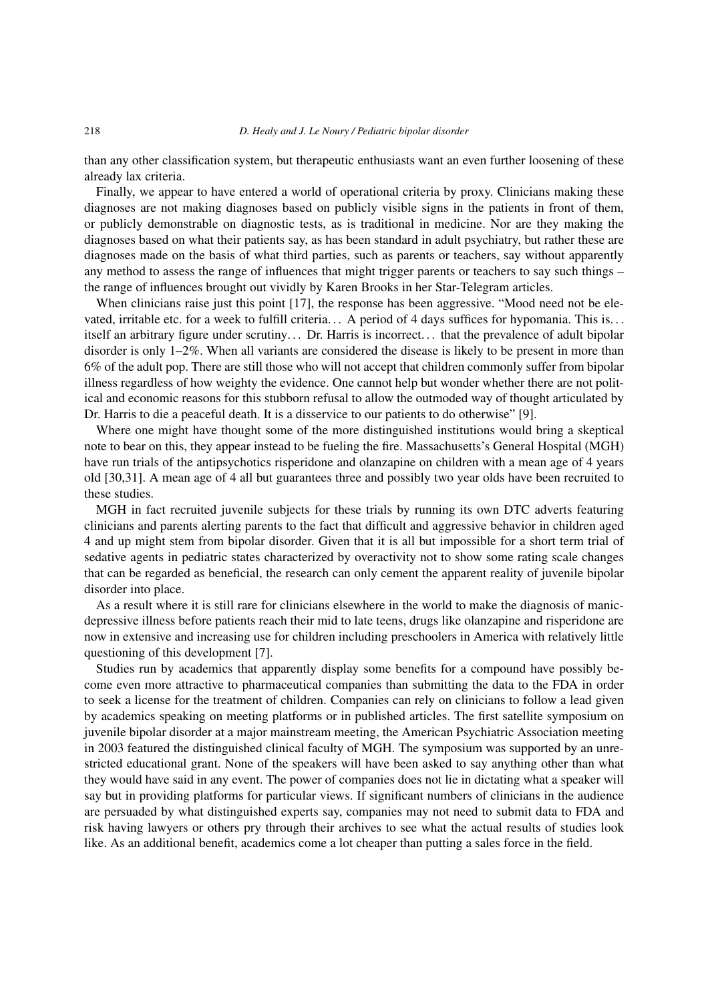than any other classification system, but therapeutic enthusiasts want an even further loosening of these already lax criteria.

Finally, we appear to have entered a world of operational criteria by proxy. Clinicians making these diagnoses are not making diagnoses based on publicly visible signs in the patients in front of them, or publicly demonstrable on diagnostic tests, as is traditional in medicine. Nor are they making the diagnoses based on what their patients say, as has been standard in adult psychiatry, but rather these are diagnoses made on the basis of what third parties, such as parents or teachers, say without apparently any method to assess the range of influences that might trigger parents or teachers to say such things – the range of influences brought out vividly by Karen Brooks in her Star-Telegram articles.

When clinicians raise just this point [17], the response has been aggressive. "Mood need not be elevated, irritable etc. for a week to fulfill criteria... A period of 4 days suffices for hypomania. This is... itself an arbitrary figure under scrutiny... Dr. Harris is incorrect... that the prevalence of adult bipolar disorder is only 1–2%. When all variants are considered the disease is likely to be present in more than 6% of the adult pop. There are still those who will not accept that children commonly suffer from bipolar illness regardless of how weighty the evidence. One cannot help but wonder whether there are not political and economic reasons for this stubborn refusal to allow the outmoded way of thought articulated by Dr. Harris to die a peaceful death. It is a disservice to our patients to do otherwise" [9].

Where one might have thought some of the more distinguished institutions would bring a skeptical note to bear on this, they appear instead to be fueling the fire. Massachusetts's General Hospital (MGH) have run trials of the antipsychotics risperidone and olanzapine on children with a mean age of 4 years old [30,31]. A mean age of 4 all but guarantees three and possibly two year olds have been recruited to these studies.

MGH in fact recruited juvenile subjects for these trials by running its own DTC adverts featuring clinicians and parents alerting parents to the fact that difficult and aggressive behavior in children aged 4 and up might stem from bipolar disorder. Given that it is all but impossible for a short term trial of sedative agents in pediatric states characterized by overactivity not to show some rating scale changes that can be regarded as beneficial, the research can only cement the apparent reality of juvenile bipolar disorder into place.

As a result where it is still rare for clinicians elsewhere in the world to make the diagnosis of manicdepressive illness before patients reach their mid to late teens, drugs like olanzapine and risperidone are now in extensive and increasing use for children including preschoolers in America with relatively little questioning of this development [7].

Studies run by academics that apparently display some benefits for a compound have possibly become even more attractive to pharmaceutical companies than submitting the data to the FDA in order to seek a license for the treatment of children. Companies can rely on clinicians to follow a lead given by academics speaking on meeting platforms or in published articles. The first satellite symposium on juvenile bipolar disorder at a major mainstream meeting, the American Psychiatric Association meeting in 2003 featured the distinguished clinical faculty of MGH. The symposium was supported by an unrestricted educational grant. None of the speakers will have been asked to say anything other than what they would have said in any event. The power of companies does not lie in dictating what a speaker will say but in providing platforms for particular views. If significant numbers of clinicians in the audience are persuaded by what distinguished experts say, companies may not need to submit data to FDA and risk having lawyers or others pry through their archives to see what the actual results of studies look like. As an additional benefit, academics come a lot cheaper than putting a sales force in the field.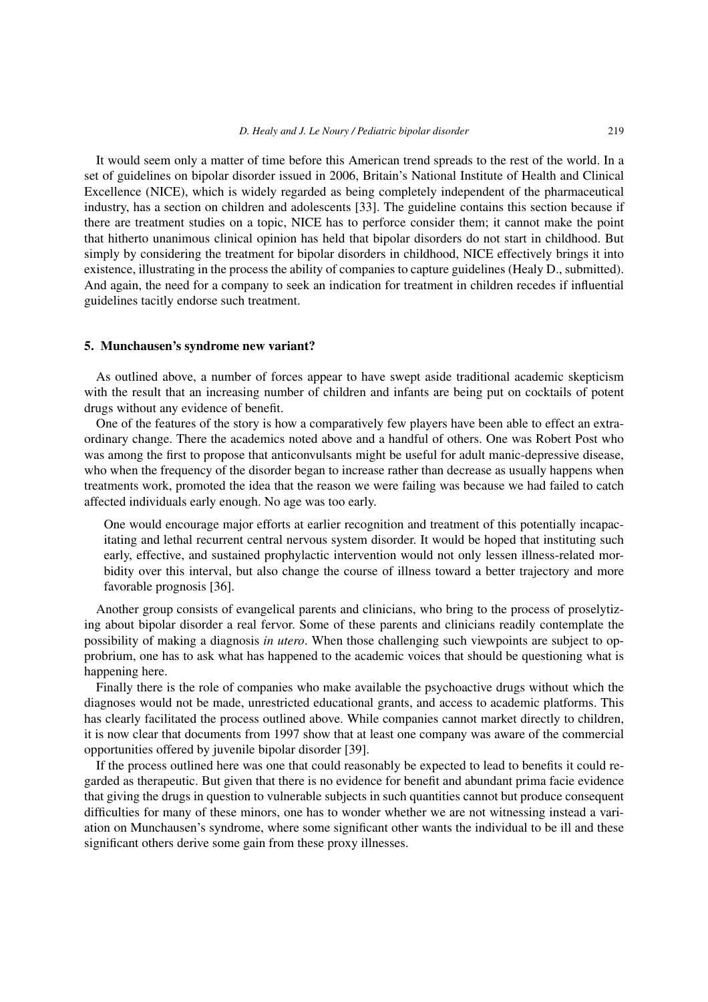It would seem only a matter of time before this American trend spreads to the rest of the world. In a set of guidelines on bipolar disorder issued in 2006, Britain's National Institute of Health and Clinical Excellence (NICE), which is widely regarded as being completely independent of the pharmaceutical industry, has a section on children and adolescents [33]. The guideline contains this section because if there are treatment studies on a topic, NICE has to perforce consider them; it cannot make the point that hitherto unanimous clinical opinion has held that bipolar disorders do not start in childhood. But simply by considering the treatment for bipolar disorders in childhood, NICE effectively brings it into existence, illustrating in the process the ability of companies to capture guidelines (Healy D., submitted). And again, the need for a company to seek an indication for treatment in children recedes if influential guidelines tacitly endorse such treatment.

#### **5. Munchausen's syndrome new variant?**

As outlined above, a number of forces appear to have swept aside traditional academic skepticism with the result that an increasing number of children and infants are being put on cocktails of potent drugs without any evidence of benefit.

One of the features of the story is how a comparatively few players have been able to effect an extraordinary change. There the academics noted above and a handful of others. One was Robert Post who was among the first to propose that anticonvulsants might be useful for adult manic-depressive disease, who when the frequency of the disorder began to increase rather than decrease as usually happens when treatments work, promoted the idea that the reason we were failing was because we had failed to catch affected individuals early enough. No age was too early.

One would encourage major efforts at earlier recognition and treatment of this potentially incapacitating and lethal recurrent central nervous system disorder. It would be hoped that instituting such early, effective, and sustained prophylactic intervention would not only lessen illness-related morbidity over this interval, but also change the course of illness toward a better trajectory and more favorable prognosis [36].

Another group consists of evangelical parents and clinicians, who bring to the process of proselytizing about bipolar disorder a real fervor. Some of these parents and clinicians readily contemplate the possibility of making a diagnosis *in utero*. When those challenging such viewpoints are subject to opprobrium, one has to ask what has happened to the academic voices that should be questioning what is happening here.

Finally there is the role of companies who make available the psychoactive drugs without which the diagnoses would not be made, unrestricted educational grants, and access to academic platforms. This has clearly facilitated the process outlined above. While companies cannot market directly to children, it is now clear that documents from 1997 show that at least one company was aware of the commercial opportunities offered by juvenile bipolar disorder [39].

If the process outlined here was one that could reasonably be expected to lead to benefits it could regarded as therapeutic. But given that there is no evidence for benefit and abundant prima facie evidence that giving the drugs in question to vulnerable subjects in such quantities cannot but produce consequent difficulties for many of these minors, one has to wonder whether we are not witnessing instead a variation on Munchausen's syndrome, where some significant other wants the individual to be ill and these significant others derive some gain from these proxy illnesses.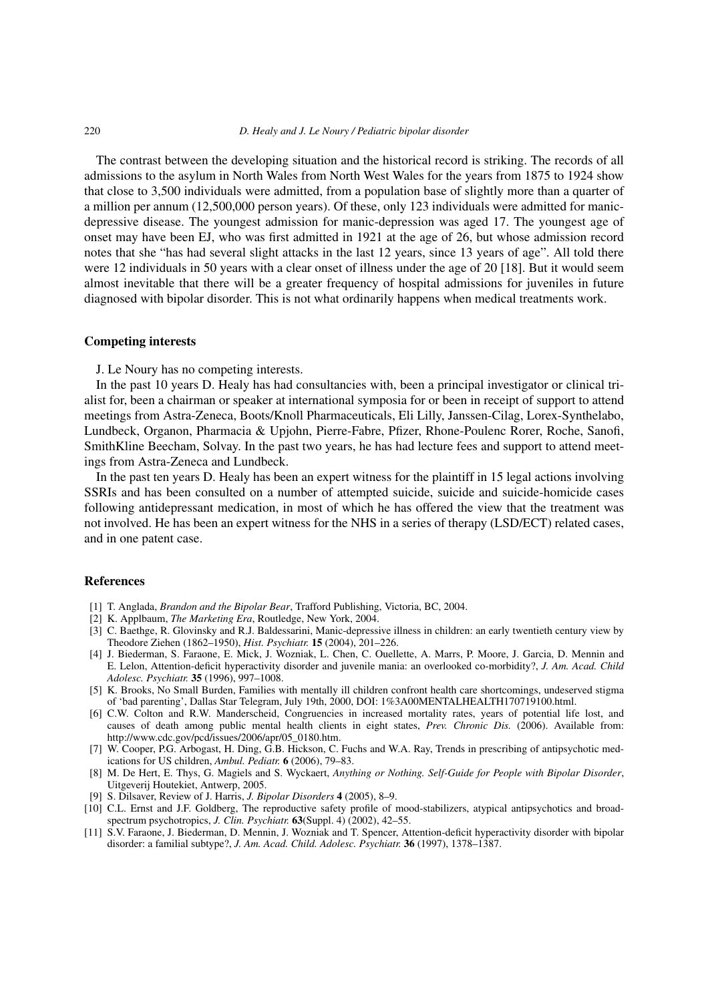#### 220 *D. Healy and J. Le Noury / Pediatric bipolar disorder*

The contrast between the developing situation and the historical record is striking. The records of all admissions to the asylum in North Wales from North West Wales for the years from 1875 to 1924 show that close to 3,500 individuals were admitted, from a population base of slightly more than a quarter of a million per annum (12,500,000 person years). Of these, only 123 individuals were admitted for manicdepressive disease. The youngest admission for manic-depression was aged 17. The youngest age of onset may have been EJ, who was first admitted in 1921 at the age of 26, but whose admission record notes that she "has had several slight attacks in the last 12 years, since 13 years of age". All told there were 12 individuals in 50 years with a clear onset of illness under the age of 20 [18]. But it would seem almost inevitable that there will be a greater frequency of hospital admissions for juveniles in future diagnosed with bipolar disorder. This is not what ordinarily happens when medical treatments work.

## **Competing interests**

J. Le Noury has no competing interests.

In the past 10 years D. Healy has had consultancies with, been a principal investigator or clinical trialist for, been a chairman or speaker at international symposia for or been in receipt of support to attend meetings from Astra-Zeneca, Boots/Knoll Pharmaceuticals, Eli Lilly, Janssen-Cilag, Lorex-Synthelabo, Lundbeck, Organon, Pharmacia & Upjohn, Pierre-Fabre, Pfizer, Rhone-Poulenc Rorer, Roche, Sanofi, SmithKline Beecham, Solvay. In the past two years, he has had lecture fees and support to attend meetings from Astra-Zeneca and Lundbeck.

In the past ten years D. Healy has been an expert witness for the plaintiff in 15 legal actions involving SSRIs and has been consulted on a number of attempted suicide, suicide and suicide-homicide cases following antidepressant medication, in most of which he has offered the view that the treatment was not involved. He has been an expert witness for the NHS in a series of therapy (LSD/ECT) related cases, and in one patent case.

#### **References**

- [1] T. Anglada, *Brandon and the Bipolar Bear*, Trafford Publishing, Victoria, BC, 2004.
- [2] K. Applbaum, *The Marketing Era*, Routledge, New York, 2004.
- [3] C. Baethge, R. Glovinsky and R.J. Baldessarini, Manic-depressive illness in children: an early twentieth century view by Theodore Ziehen (1862–1950), *Hist. Psychiatr.* **15** (2004), 201–226.
- [4] J. Biederman, S. Faraone, E. Mick, J. Wozniak, L. Chen, C. Ouellette, A. Marrs, P. Moore, J. Garcia, D. Mennin and E. Lelon, Attention-deficit hyperactivity disorder and juvenile mania: an overlooked co-morbidity?, *J. Am. Acad. Child Adolesc. Psychiatr.* **35** (1996), 997–1008.
- [5] K. Brooks, No Small Burden, Families with mentally ill children confront health care shortcomings, undeserved stigma of 'bad parenting', Dallas Star Telegram, July 19th, 2000, DOI: 1%3A00MENTALHEALTH170719100.html.
- [6] C.W. Colton and R.W. Manderscheid, Congruencies in increased mortality rates, years of potential life lost, and causes of death among public mental health clients in eight states, *Prev. Chronic Dis.* (2006). Available from: http://www.cdc.gov/pcd/issues/2006/apr/05\_0180.htm.
- [7] W. Cooper, P.G. Arbogast, H. Ding, G.B. Hickson, C. Fuchs and W.A. Ray, Trends in prescribing of antipsychotic medications for US children, *Ambul. Pediatr.* **6** (2006), 79–83.
- [8] M. De Hert, E. Thys, G. Magiels and S. Wyckaert, *Anything or Nothing. Self-Guide for People with Bipolar Disorder*, Uitgeverij Houtekiet, Antwerp, 2005.
- [9] S. Dilsaver, Review of J. Harris, *J. Bipolar Disorders* **4** (2005), 8–9.
- [10] C.L. Ernst and J.F. Goldberg, The reproductive safety profile of mood-stabilizers, atypical antipsychotics and broadspectrum psychotropics, *J. Clin. Psychiatr.* **63**(Suppl. 4) (2002), 42–55.
- [11] S.V. Faraone, J. Biederman, D. Mennin, J. Wozniak and T. Spencer, Attention-deficit hyperactivity disorder with bipolar disorder: a familial subtype?, *J. Am. Acad. Child. Adolesc. Psychiatr.* **36** (1997), 1378–1387.